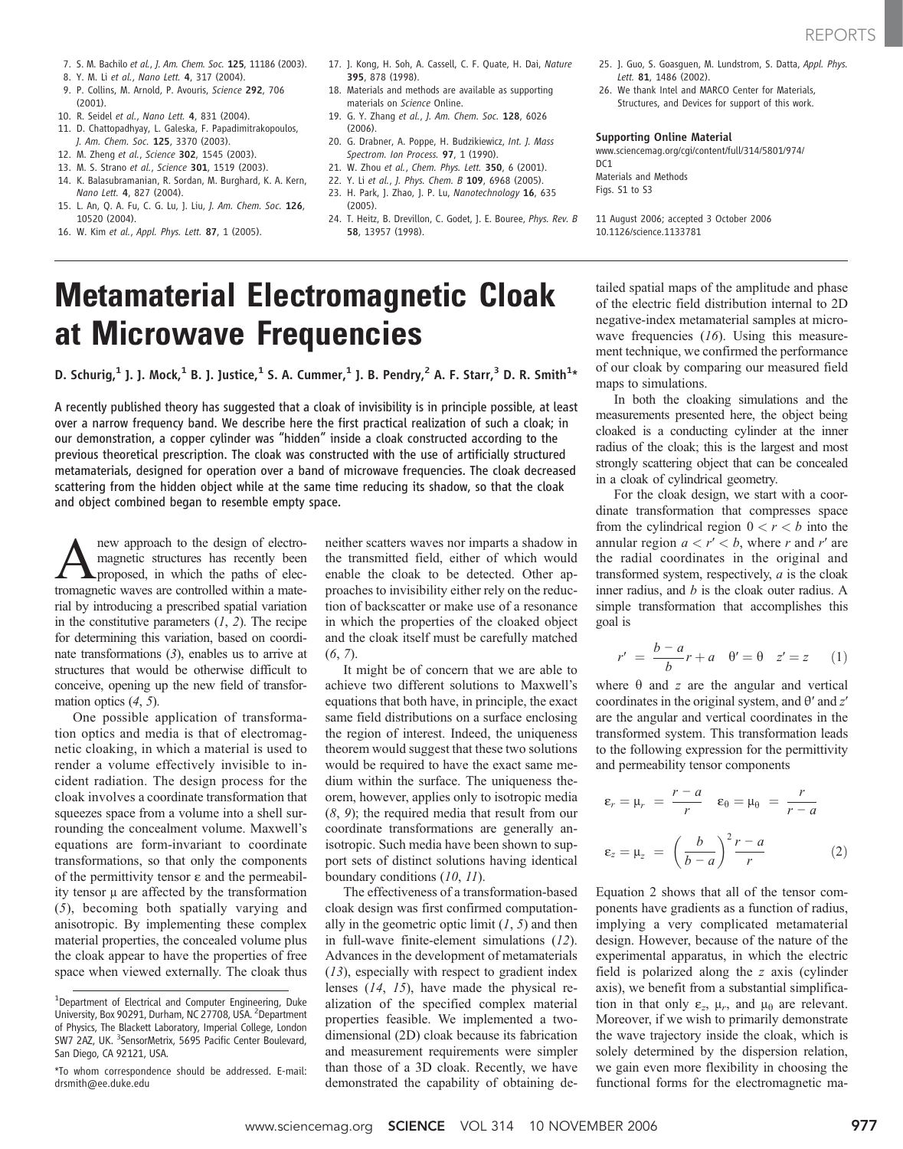- 7. S. M. Bachilo et al., J. Am. Chem. Soc. 125, 11186 (2003).
- 8. Y. M. Li et al., Nano Lett. 4, 317 (2004).
- 9. P. Collins, M. Arnold, P. Avouris, Science 292, 706 (2001).
- 10. R. Seidel et al., Nano Lett. 4, 831 (2004).
- 11. D. Chattopadhyay, L. Galeska, F. Papadimitrakopoulos, J. Am. Chem. Soc. 125, 3370 (2003).
- 12. M. Zheng et al., Science 302, 1545 (2003).
- 13. M. S. Strano et al., Science 301, 1519 (2003).
- 14. K. Balasubramanian, R. Sordan, M. Burghard, K. A. Kern,
- Nano Lett. 4, 827 (2004). 15. L. An, Q. A. Fu, C. G. Lu, J. Liu, J. Am. Chem. Soc. 126, 10520 (2004).
- 16. W. Kim et al., Appl. Phys. Lett. 87, 1 (2005).
- 17. J. Kong, H. Soh, A. Cassell, C. F. Quate, H. Dai, Nature 395, 878 (1998).
- 18. Materials and methods are available as supporting materials on Science Online.
- 19. G. Y. Zhang et al., J. Am. Chem. Soc. 128, 6026  $(2006)$
- 20. G. Drabner, A. Poppe, H. Budzikiewicz, Int. J. Mass Spectrom. Ion Process. 97, 1 (1990).
- 21. W. Zhou et al., Chem. Phys. Lett. 350, 6 (2001).
- 22. Y. Li et al., J. Phys. Chem. B 109, 6968 (2005). 23. H. Park, J. Zhao, J. P. Lu, Nanotechnology 16, 635
- (2005).
- 24. T. Heitz, B. Drevillon, C. Godet, J. E. Bouree, Phys. Rev. B 58, 13957 (1998).
- 25. J. Guo, S. Goasguen, M. Lundstrom, S. Datta, Appl. Phys. Lett. 81, 1486 (2002).
- 26. We thank Intel and MARCO Center for Materials Structures, and Devices for support of this work.

### Supporting Online Material

www.sciencemag.org/cgi/content/full/314/5801/974/  $DC1$ Materials and Methods Figs. S1 to S3

11 August 2006; accepted 3 October 2006 10.1126/science.1133781

## Metamaterial Electromagnetic Cloak at Microwave Frequencies

D. Schurig, $^1$  J. J. Mock, $^1$  B. J. Justice, $^1$  S. A. Cummer, $^1$  J. B. Pendry, $^2$  A. F. Starr, $^3$  D. R. Smith $^{1\ast}$ 

A recently published theory has suggested that a cloak of invisibility is in principle possible, at least over a narrow frequency band. We describe here the first practical realization of such a cloak; in our demonstration, a copper cylinder was "hidden" inside a cloak constructed according to the previous theoretical prescription. The cloak was constructed with the use of artificially structured metamaterials, designed for operation over a band of microwave frequencies. The cloak decreased scattering from the hidden object while at the same time reducing its shadow, so that the cloak and object combined began to resemble empty space.

**A** new approach to the design of electro-<br>magnetic structures has recently been<br>proposed, in which the paths of elec-<br>tromagnetic waves are controlled within a matemagnetic structures has recently been tromagnetic waves are controlled within a material by introducing a prescribed spatial variation in the constitutive parameters  $(1, 2)$ . The recipe for determining this variation, based on coordinate transformations (3), enables us to arrive at structures that would be otherwise difficult to conceive, opening up the new field of transformation optics  $(4, 5)$ .

One possible application of transformation optics and media is that of electromagnetic cloaking, in which a material is used to render a volume effectively invisible to incident radiation. The design process for the cloak involves a coordinate transformation that squeezes space from a volume into a shell surrounding the concealment volume. Maxwell's equations are form-invariant to coordinate transformations, so that only the components of the permittivity tensor  $\varepsilon$  and the permeability tensor  $\mu$  are affected by the transformation (5), becoming both spatially varying and anisotropic. By implementing these complex material properties, the concealed volume plus the cloak appear to have the properties of free space when viewed externally. The cloak thus neither scatters waves nor imparts a shadow in the transmitted field, either of which would enable the cloak to be detected. Other approaches to invisibility either rely on the reduction of backscatter or make use of a resonance in which the properties of the cloaked object and the cloak itself must be carefully matched (6, 7).

It might be of concern that we are able to achieve two different solutions to Maxwell's equations that both have, in principle, the exact same field distributions on a surface enclosing the region of interest. Indeed, the uniqueness theorem would suggest that these two solutions would be required to have the exact same medium within the surface. The uniqueness theorem, however, applies only to isotropic media (8, 9); the required media that result from our coordinate transformations are generally anisotropic. Such media have been shown to support sets of distinct solutions having identical boundary conditions (10, 11).

The effectiveness of a transformation-based cloak design was first confirmed computationally in the geometric optic limit  $(1, 5)$  and then in full-wave finite-element simulations (12). Advances in the development of metamaterials (13), especially with respect to gradient index lenses (14, 15), have made the physical realization of the specified complex material properties feasible. We implemented a twodimensional (2D) cloak because its fabrication and measurement requirements were simpler than those of a 3D cloak. Recently, we have demonstrated the capability of obtaining detailed spatial maps of the amplitude and phase of the electric field distribution internal to 2D negative-index metamaterial samples at microwave frequencies  $(16)$ . Using this measurement technique, we confirmed the performance of our cloak by comparing our measured field maps to simulations.

In both the cloaking simulations and the measurements presented here, the object being cloaked is a conducting cylinder at the inner radius of the cloak; this is the largest and most strongly scattering object that can be concealed in a cloak of cylindrical geometry.

For the cloak design, we start with a coordinate transformation that compresses space from the cylindrical region  $0 < r < b$  into the annular region  $a < r' < b$ , where r and r' are the radial coordinates in the original and transformed system, respectively,  $a$  is the cloak inner radius, and  $b$  is the cloak outer radius. A simple transformation that accomplishes this goal is

$$
r' = \frac{b-a}{b}r + a \quad \theta' = \theta \quad z' = z \qquad (1)
$$

where  $\theta$  and z are the angular and vertical coordinates in the original system, and  $\theta'$  and  $z'$ are the angular and vertical coordinates in the transformed system. This transformation leads to the following expression for the permittivity and permeability tensor components

$$
\varepsilon_r = \mu_r = \frac{r - a}{r} \quad \varepsilon_\theta = \mu_\theta = \frac{r}{r - a}
$$
\n
$$
\varepsilon_z = \mu_z = \left(\frac{b}{b - a}\right)^2 \frac{r - a}{r} \tag{2}
$$

Equation 2 shows that all of the tensor components have gradients as a function of radius, implying a very complicated metamaterial design. However, because of the nature of the experimental apparatus, in which the electric field is polarized along the z axis (cylinder axis), we benefit from a substantial simplification in that only  $\varepsilon_z$ ,  $\mu_r$ , and  $\mu_\theta$  are relevant. Moreover, if we wish to primarily demonstrate the wave trajectory inside the cloak, which is solely determined by the dispersion relation, we gain even more flexibility in choosing the functional forms for the electromagnetic ma-

<sup>&</sup>lt;sup>1</sup>Department of Electrical and Computer Engineering, Duke University, Box 90291, Durham, NC 27708, USA. <sup>2</sup>Department of Physics, The Blackett Laboratory, Imperial College, London SW7 2AZ, UK. <sup>3</sup>SensorMetrix, 5695 Pacific Center Boulevard, San Diego, CA 92121, USA.

<sup>\*</sup>To whom correspondence should be addressed. E-mail: drsmith@ee.duke.edu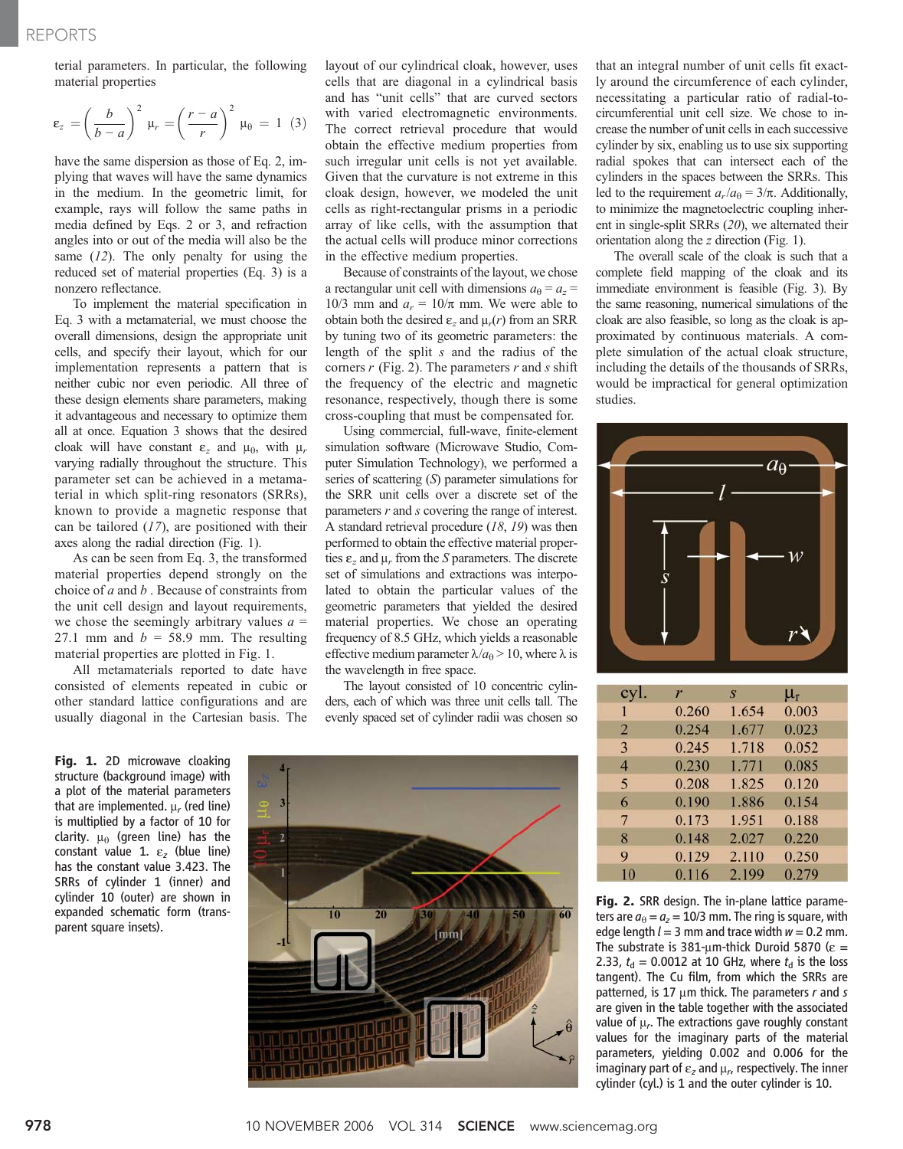terial parameters. In particular, the following material properties

$$
\varepsilon_z = \left(\frac{b}{b-a}\right)^2 \mu_r = \left(\frac{r-a}{r}\right)^2 \mu_\theta = 1 \tag{3}
$$

have the same dispersion as those of Eq. 2, implying that waves will have the same dynamics in the medium. In the geometric limit, for example, rays will follow the same paths in media defined by Eqs. 2 or 3, and refraction angles into or out of the media will also be the same  $(12)$ . The only penalty for using the reduced set of material properties (Eq. 3) is a nonzero reflectance.

To implement the material specification in Eq. 3 with a metamaterial, we must choose the overall dimensions, design the appropriate unit cells, and specify their layout, which for our implementation represents a pattern that is neither cubic nor even periodic. All three of these design elements share parameters, making it advantageous and necessary to optimize them all at once. Equation 3 shows that the desired cloak will have constant  $\varepsilon_z$  and  $\mu_{\theta}$ , with  $\mu_r$ varying radially throughout the structure. This parameter set can be achieved in a metamaterial in which split-ring resonators (SRRs), known to provide a magnetic response that can be tailored  $(17)$ , are positioned with their axes along the radial direction (Fig. 1).

As can be seen from Eq. 3, the transformed material properties depend strongly on the choice of  $a$  and  $b$ . Because of constraints from the unit cell design and layout requirements, we chose the seemingly arbitrary values  $a =$ 27.1 mm and  $b = 58.9$  mm. The resulting material properties are plotted in Fig. 1.

All metamaterials reported to date have consisted of elements repeated in cubic or other standard lattice configurations and are usually diagonal in the Cartesian basis. The

Fig. 1. 2D microwave cloaking structure (background image) with a plot of the material parameters that are implemented.  $\mu_r$  (red line) is multiplied by a factor of 10 for clarity.  $\mu_{\theta}$  (green line) has the constant value 1.  $\varepsilon$ <sub>z</sub> (blue line) has the constant value 3.423. The SRRs of cylinder 1 (inner) and cylinder 10 (outer) are shown in expanded schematic form (transparent square insets).

layout of our cylindrical cloak, however, uses cells that are diagonal in a cylindrical basis and has "unit cells" that are curved sectors with varied electromagnetic environments. The correct retrieval procedure that would obtain the effective medium properties from such irregular unit cells is not yet available. Given that the curvature is not extreme in this cloak design, however, we modeled the unit cells as right-rectangular prisms in a periodic array of like cells, with the assumption that the actual cells will produce minor corrections in the effective medium properties.

Because of constraints of the layout, we chose a rectangular unit cell with dimensions  $a_0 = a_z$ 10/3 mm and  $a_r = 10/\pi$  mm. We were able to obtain both the desired  $\varepsilon_z$  and  $\mu_r(r)$  from an SRR by tuning two of its geometric parameters: the length of the split s and the radius of the corners  $r$  (Fig. 2). The parameters  $r$  and  $s$  shift the frequency of the electric and magnetic resonance, respectively, though there is some cross-coupling that must be compensated for.

Using commercial, full-wave, finite-element simulation software (Microwave Studio, Computer Simulation Technology), we performed a series of scattering (S) parameter simulations for the SRR unit cells over a discrete set of the parameters  $r$  and  $s$  covering the range of interest. A standard retrieval procedure (18, 19) was then performed to obtain the effective material properties  $\varepsilon$ <sub>z</sub> and  $\mu$ <sub>r</sub> from the S parameters. The discrete set of simulations and extractions was interpolated to obtain the particular values of the geometric parameters that yielded the desired material properties. We chose an operating frequency of 8.5 GHz, which yields a reasonable effective medium parameter  $\lambda/a_\theta > 10$ , where  $\lambda$  is the wavelength in free space.

The layout consisted of 10 concentric cylinders, each of which was three unit cells tall. The evenly spaced set of cylinder radii was chosen so



that an integral number of unit cells fit exactly around the circumference of each cylinder, necessitating a particular ratio of radial-tocircumferential unit cell size. We chose to increase the number of unit cells in each successive cylinder by six, enabling us to use six supporting radial spokes that can intersect each of the cylinders in the spaces between the SRRs. This led to the requirement  $a_r/a_\theta = 3/\pi$ . Additionally, to minimize the magnetoelectric coupling inherent in single-split SRRs (20), we alternated their orientation along the z direction (Fig. 1).

The overall scale of the cloak is such that a complete field mapping of the cloak and its immediate environment is feasible (Fig. 3). By the same reasoning, numerical simulations of the cloak are also feasible, so long as the cloak is approximated by continuous materials. A complete simulation of the actual cloak structure, including the details of the thousands of SRRs, would be impractical for general optimization studies.



| cyl.           | r     | S     | $\mu_r$ |
|----------------|-------|-------|---------|
|                | 0.260 | 1.654 | 0.003   |
| $\overline{2}$ | 0.254 | 1.677 | 0.023   |
| 3              | 0.245 | 1.718 | 0.052   |
| $\overline{4}$ | 0.230 | 1.771 | 0.085   |
| 5              | 0.208 | 1.825 | 0.120   |
| 6              | 0.190 | 1.886 | 0.154   |
| 7              | 0.173 | 1.951 | 0.188   |
| 8              | 0.148 | 2.027 | 0.220   |
| 9              | 0.129 | 2.110 | 0.250   |
| 10             | 0.116 | 2.199 | 0.279   |

Fig. 2. SRR design. The in-plane lattice parameters are  $a_{\theta} = a_{z} = 10/3$  mm. The ring is square, with edge length  $l = 3$  mm and trace width  $w = 0.2$  mm. The substrate is 381- $\mu$ m-thick Duroid 5870 ( $\epsilon$  = 2.33,  $t_d$  = 0.0012 at 10 GHz, where  $t_d$  is the loss tangent). The Cu film, from which the SRRs are patterned, is 17  $\mu$ m thick. The parameters r and s are given in the table together with the associated value of  $\mu_r$ . The extractions gave roughly constant values for the imaginary parts of the material parameters, yielding 0.002 and 0.006 for the imaginary part of  $\varepsilon_z$  and  $\mu_r$ , respectively. The inner cylinder (cyl.) is 1 and the outer cylinder is 10.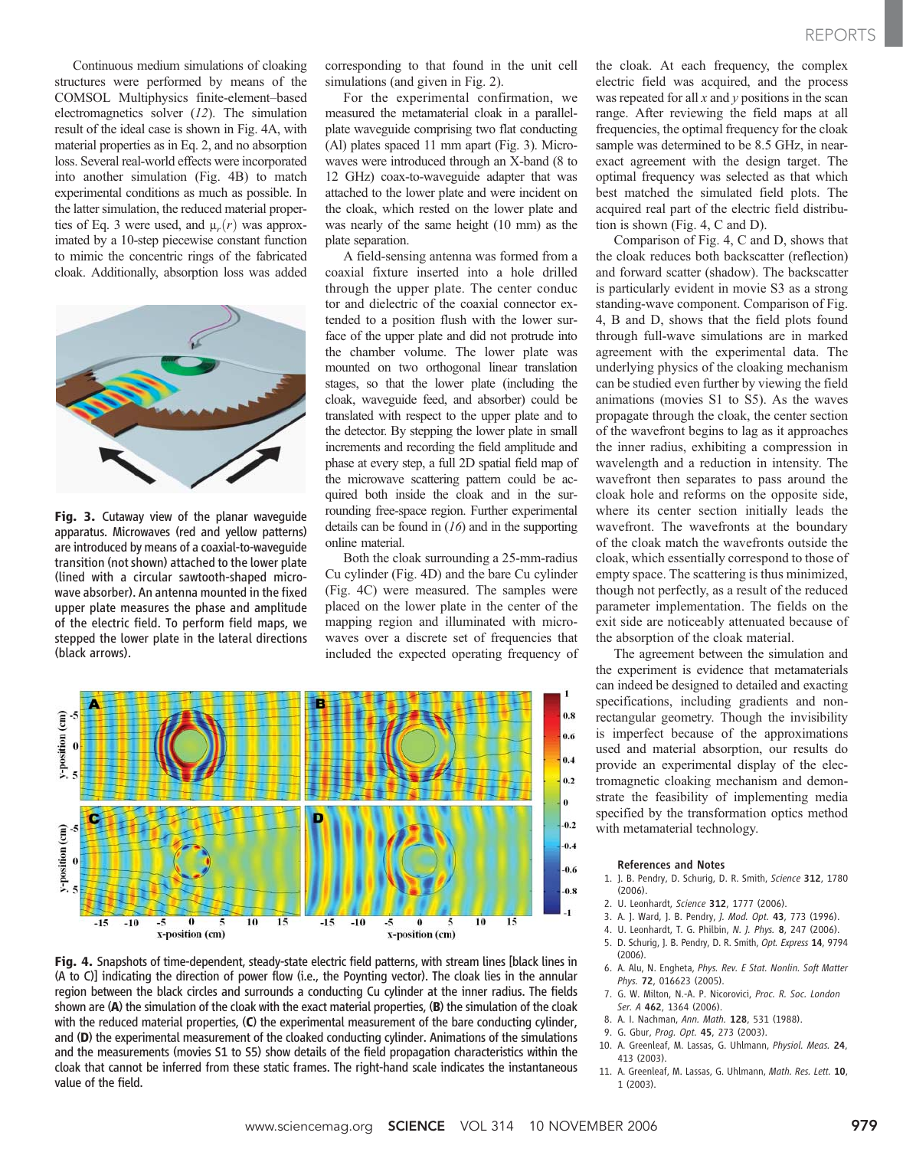Continuous medium simulations of cloaking structures were performed by means of the COMSOL Multiphysics finite-element–based electromagnetics solver (12). The simulation result of the ideal case is shown in Fig. 4A, with material properties as in Eq. 2, and no absorption loss. Several real-world effects were incorporated into another simulation (Fig. 4B) to match experimental conditions as much as possible. In the latter simulation, the reduced material properties of Eq. 3 were used, and  $\mu_r(r)$  was approximated by a 10-step piecewise constant function to mimic the concentric rings of the fabricated cloak. Additionally, absorption loss was added



Fig. 3. Cutaway view of the planar wavequide apparatus. Microwaves (red and yellow patterns) are introduced by means of a coaxial-to-waveguide transition (not shown) attached to the lower plate (lined with a circular sawtooth-shaped microwave absorber). An antenna mounted in the fixed upper plate measures the phase and amplitude of the electric field. To perform field maps, we stepped the lower plate in the lateral directions (black arrows).

corresponding to that found in the unit cell simulations (and given in Fig. 2).

For the experimental confirmation, we measured the metamaterial cloak in a parallelplate waveguide comprising two flat conducting (Al) plates spaced 11 mm apart (Fig. 3). Microwaves were introduced through an X-band (8 to 12 GHz) coax-to-waveguide adapter that was attached to the lower plate and were incident on the cloak, which rested on the lower plate and was nearly of the same height (10 mm) as the plate separation.

A field-sensing antenna was formed from a coaxial fixture inserted into a hole drilled through the upper plate. The center conduc tor and dielectric of the coaxial connector extended to a position flush with the lower surface of the upper plate and did not protrude into the chamber volume. The lower plate was mounted on two orthogonal linear translation stages, so that the lower plate (including the cloak, waveguide feed, and absorber) could be translated with respect to the upper plate and to the detector. By stepping the lower plate in small increments and recording the field amplitude and phase at every step, a full 2D spatial field map of the microwave scattering pattern could be acquired both inside the cloak and in the surrounding free-space region. Further experimental details can be found in  $(16)$  and in the supporting online material.

Both the cloak surrounding a 25-mm-radius Cu cylinder (Fig. 4D) and the bare Cu cylinder (Fig. 4C) were measured. The samples were placed on the lower plate in the center of the mapping region and illuminated with microwaves over a discrete set of frequencies that included the expected operating frequency of



Fig. 4. Snapshots of time-dependent, steady-state electric field patterns, with stream lines [black lines in (A to C)] indicating the direction of power flow (i.e., the Poynting vector). The cloak lies in the annular region between the black circles and surrounds a conducting Cu cylinder at the inner radius. The fields shown are  $(A)$  the simulation of the cloak with the exact material properties,  $(B)$  the simulation of the cloak with the reduced material properties, (C) the experimental measurement of the bare conducting cylinder, and (D) the experimental measurement of the cloaked conducting cylinder. Animations of the simulations and the measurements (movies S1 to S5) show details of the field propagation characteristics within the cloak that cannot be inferred from these static frames. The right-hand scale indicates the instantaneous value of the field.

the cloak. At each frequency, the complex electric field was acquired, and the process was repeated for all  $x$  and  $y$  positions in the scan range. After reviewing the field maps at all frequencies, the optimal frequency for the cloak sample was determined to be 8.5 GHz, in nearexact agreement with the design target. The optimal frequency was selected as that which best matched the simulated field plots. The acquired real part of the electric field distribution is shown (Fig. 4, C and D).

Comparison of Fig. 4, C and D, shows that the cloak reduces both backscatter (reflection) and forward scatter (shadow). The backscatter is particularly evident in movie S3 as a strong standing-wave component. Comparison of Fig. 4, B and D, shows that the field plots found through full-wave simulations are in marked agreement with the experimental data. The underlying physics of the cloaking mechanism can be studied even further by viewing the field animations (movies S1 to S5). As the waves propagate through the cloak, the center section of the wavefront begins to lag as it approaches the inner radius, exhibiting a compression in wavelength and a reduction in intensity. The wavefront then separates to pass around the cloak hole and reforms on the opposite side, where its center section initially leads the wavefront. The wavefronts at the boundary of the cloak match the wavefronts outside the cloak, which essentially correspond to those of empty space. The scattering is thus minimized, though not perfectly, as a result of the reduced parameter implementation. The fields on the exit side are noticeably attenuated because of the absorption of the cloak material.

The agreement between the simulation and the experiment is evidence that metamaterials can indeed be designed to detailed and exacting specifications, including gradients and nonrectangular geometry. Though the invisibility is imperfect because of the approximations used and material absorption, our results do provide an experimental display of the electromagnetic cloaking mechanism and demonstrate the feasibility of implementing media specified by the transformation optics method with metamaterial technology.

#### References and Notes

- 1. J. B. Pendry, D. Schurig, D. R. Smith, Science 312, 1780 (2006).
- 2. U. Leonhardt, Science 312, 1777 (2006).
- 3. A. J. Ward, J. B. Pendry, J. Mod. Opt. 43, 773 (1996).
- 4. U. Leonhardt, T. G. Philbin, N. J. Phys. 8, 247 (2006). 5. D. Schurig, J. B. Pendry, D. R. Smith, Opt. Express 14, 9794
- (2006).
- 6. A. Alu, N. Engheta, Phys. Rev. E Stat. Nonlin. Soft Matter Phys. 72, 016623 (2005).
- 7. G. W. Milton, N.-A. P. Nicorovici, Proc. R. Soc. London Ser. A 462, 1364 (2006).
- 8. A. I. Nachman, Ann. Math. 128, 531 (1988).
- 9. G. Gbur, Prog. Opt. 45, 273 (2003).
- 10. A. Greenleaf, M. Lassas, G. Uhlmann, Physiol. Meas. 24, 413 (2003).
- 11. A. Greenleaf, M. Lassas, G. Uhlmann, Math. Res. Lett. 10, 1 (2003).